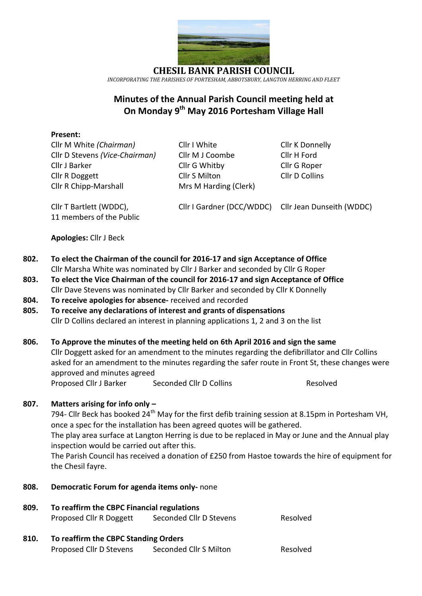

**CHESIL BANK PARISH COUNCIL** *INCORPORATING THE PARISHES OF PORTESHAM, ABBOTSBURY, LANGTON HERRING AND FLEET*

# **Minutes of the Annual Parish Council meeting held at On Monday 9 th May 2016 Portesham Village Hall**

### **Present:**

Cllr M White *(Chairman)* Cllr I White Cllr K Donnelly Cllr D Stevens *(Vice-Chairman)* Cllr M J Coombe Cllr H Ford Cllr J Barker Cllr G Whitby Cllr G Roper Cllr R Doggett Cllr S Milton Cllr D Collins Cllr R Chipp-Marshall Mrs M Harding (Clerk)

11 members of the Public

Cllr T Bartlett (WDDC), Cllr I Gardner (DCC/WDDC) Cllr Jean Dunseith (WDDC)

**Apologies:** Cllr J Beck

- **802. To elect the Chairman of the council for 2016-17 and sign Acceptance of Office** Cllr Marsha White was nominated by Cllr J Barker and seconded by Cllr G Roper
- **803. To elect the Vice Chairman of the council for 2016-17 and sign Acceptance of Office** Cllr Dave Stevens was nominated by Cllr Barker and seconded by Cllr K Donnelly
- **804. To receive apologies for absence-** received and recorded
- **805. To receive any declarations of interest and grants of dispensations** Cllr D Collins declared an interest in planning applications 1, 2 and 3 on the list

### **806. To Approve the minutes of the meeting held on 6th April 2016 and sign the same** Cllr Doggett asked for an amendment to the minutes regarding the defibrillator and Cllr Collins asked for an amendment to the minutes regarding the safer route in Front St, these changes were approved and minutes agreed

Proposed Cllr J Barker Seconded Cllr D Collins Resolved

## **807. Matters arising for info only –**

794- Cllr Beck has booked 24<sup>th</sup> May for the first defib training session at 8.15pm in Portesham VH, once a spec for the installation has been agreed quotes will be gathered.

The play area surface at Langton Herring is due to be replaced in May or June and the Annual play inspection would be carried out after this.

The Parish Council has received a donation of £250 from Hastoe towards the hire of equipment for the Chesil fayre.

- **808. Democratic Forum for agenda items only-** none
- **809. To reaffirm the CBPC Financial regulations** Proposed Cllr R Doggett Seconded Cllr D Stevens Resolved
- **810. To reaffirm the CBPC Standing Orders** Proposed Cllr D Stevens Seconded Cllr S Milton Resolved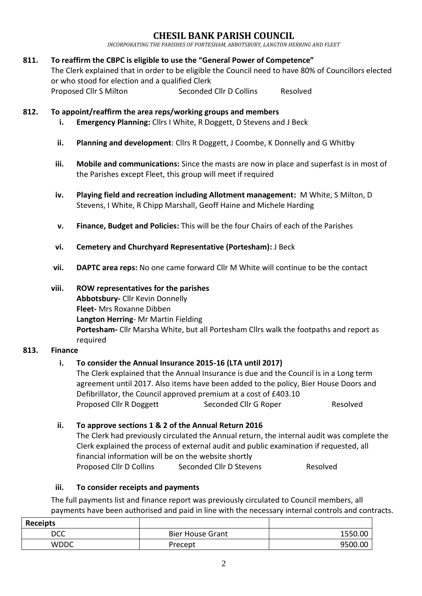## **CHESIL BANK PARISH COUNCIL**

*INCORPORATING THE PARISHES OF PORTESHAM, ABBOTSBURY, LANGTON HERRING AND FLEET*

### **811. To reaffirm the CBPC is eligible to use the "General Power of Competence"**

The Clerk explained that in order to be eligible the Council need to have 80% of Councillors elected or who stood for election and a qualified Clerk Proposed Cllr S Milton Seconded Cllr D Collins Resolved

**812. To appoint/reaffirm the area reps/working groups and members**

- **i. Emergency Planning:** Cllrs I White, R Doggett, D Stevens and J Beck
- **ii. Planning and development**: Cllrs R Doggett, J Coombe, K Donnelly and G Whitby
- **iii. Mobile and communications:** Since the masts are now in place and superfast is in most of the Parishes except Fleet, this group will meet if required
- **iv. Playing field and recreation including Allotment management:** M White, S Milton, D Stevens, I White, R Chipp Marshall, Geoff Haine and Michele Harding
- **v. Finance, Budget and Policies:** This will be the four Chairs of each of the Parishes
- **vi. Cemetery and Churchyard Representative (Portesham):** J Beck
- **vii. DAPTC area reps:** No one came forward Cllr M White will continue to be the contact
- **viii. ROW representatives for the parishes Abbotsbury-** Cllr Kevin Donnelly **Fleet-** Mrs Roxanne Dibben **Langton Herring**- Mr Martin Fielding **Portesham-** Cllr Marsha White, but all Portesham Cllrs walk the footpaths and report as required

### **813. Finance**

### **i. To consider the Annual Insurance 2015-16 (LTA until 2017)**

The Clerk explained that the Annual Insurance is due and the Council is in a Long term agreement until 2017. Also items have been added to the policy, Bier House Doors and Defibrillator, the Council approved premium at a cost of £403.10 Proposed Cllr R Doggett Seconded Cllr G Roper Resolved

## **ii. To approve sections 1 & 2 of the Annual Return 2016**

The Clerk had previously circulated the Annual return, the internal audit was complete the Clerk explained the process of external audit and public examination if requested, all financial information will be on the website shortly Proposed Cllr D Collins Seconded Cllr D Stevens Resolved

### **iii. To consider receipts and payments**

The full payments list and finance report was previously circulated to Council members, all payments have been authorised and paid in line with the necessary internal controls and contracts.

| <b>Receipts</b> |                         |         |
|-----------------|-------------------------|---------|
| <b>DCC</b>      | <b>Bier House Grant</b> | 1550.00 |
| <b>WDDC</b>     | Precept                 | 9500.00 |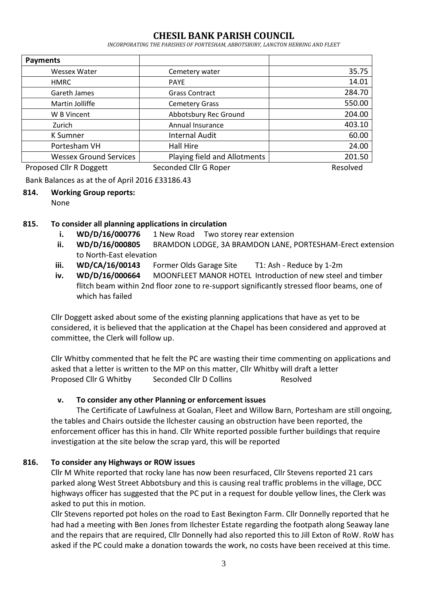## **CHESIL BANK PARISH COUNCIL**

*INCORPORATING THE PARISHES OF PORTESHAM, ABBOTSBURY, LANGTON HERRING AND FLEET*

| <b>Payments</b>               |                              |          |
|-------------------------------|------------------------------|----------|
| <b>Wessex Water</b>           | Cemetery water               | 35.75    |
| <b>HMRC</b>                   | <b>PAYE</b>                  | 14.01    |
| Gareth James                  | <b>Grass Contract</b>        | 284.70   |
| Martin Jolliffe               | <b>Cemetery Grass</b>        | 550.00   |
| W B Vincent                   | Abbotsbury Rec Ground        | 204.00   |
| Zurich                        | Annual Insurance             | 403.10   |
| <b>K</b> Sumner               | <b>Internal Audit</b>        | 60.00    |
| Portesham VH                  | Hall Hire                    | 24.00    |
| <b>Wessex Ground Services</b> | Playing field and Allotments | 201.50   |
| Proposed Cllr R Doggett       | Seconded Cllr G Roper        | Resolved |

Bank Balances as at the of April 2016 £33186.43

#### **814. Working Group reports:** None

## **815. To consider all planning applications in circulation**

- **i. WD/D/16/000776** 1 New Road Two storey rear extension
- **ii. WD/D/16/000805** BRAMDON LODGE, 3A BRAMDON LANE, PORTESHAM-Erect extension to North-East elevation
- **iii. WD/CA/16/00143** Former Olds Garage Site T1: Ash Reduce by 1-2m
- **iv. WD/D/16/000664** MOONFLEET MANOR HOTEL Introduction of new steel and timber flitch beam within 2nd floor zone to re-support significantly stressed floor beams, one of which has failed

Cllr Doggett asked about some of the existing planning applications that have as yet to be considered, it is believed that the application at the Chapel has been considered and approved at committee, the Clerk will follow up.

Cllr Whitby commented that he felt the PC are wasting their time commenting on applications and asked that a letter is written to the MP on this matter, Cllr Whitby will draft a letter Proposed Cllr G Whitby Seconded Cllr D Collins Resolved

## **v. To consider any other Planning or enforcement issues**

The Certificate of Lawfulness at Goalan, Fleet and Willow Barn, Portesham are still ongoing, the tables and Chairs outside the Ilchester causing an obstruction have been reported, the enforcement officer has this in hand. Cllr White reported possible further buildings that require investigation at the site below the scrap yard, this will be reported

## **816. To consider any Highways or ROW issues**

Cllr M White reported that rocky lane has now been resurfaced, Cllr Stevens reported 21 cars parked along West Street Abbotsbury and this is causing real traffic problems in the village, DCC highways officer has suggested that the PC put in a request for double yellow lines, the Clerk was asked to put this in motion.

Cllr Stevens reported pot holes on the road to East Bexington Farm. Cllr Donnelly reported that he had had a meeting with Ben Jones from Ilchester Estate regarding the footpath along Seaway lane and the repairs that are required, Cllr Donnelly had also reported this to Jill Exton of RoW. RoW has asked if the PC could make a donation towards the work, no costs have been received at this time.